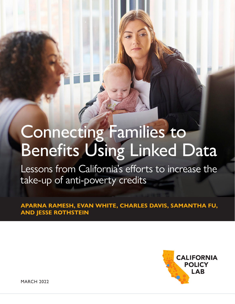# Connecting Families to Benefits Using Linked Data

Lessons from California's efforts to increase the take-up of anti-poverty credits

**APARNA RAMESH, EVAN WHITE, CHARLES DAVIS, SAMANTHA FU, AND JESSE ROTHSTEIN**



MARCH 2022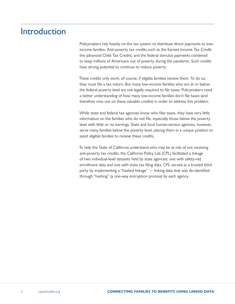# Introduction

Policymakers rely heavily on the tax system to distribute direct payments to lowincome families. Anti-poverty tax credits such as the Earned Income Tax Credit, the advanced Child Tax Credits, and the federal stimulus payments combined to keep millions of Americans out of poverty during the pandemic. Such credits have strong potential to continue to reduce poverty.

These credits only work, of course, if eligible families receive them. To do so, they must file a tax return. But many low-income families who are at or below the federal poverty level are not legally required to file taxes. Policymakers need a better understanding of how many low-income families don't file taxes (and therefore miss out on these valuable credits) in order to address this problem.

While state and federal tax agencies know who files taxes, they have very little information on the families who do not file, especially those below the poverty level with little or no earnings. State and local human-service agencies, however, serve many families below the poverty level, placing them in a unique position to assist eligible families to receive these credits.

To help the State of California understand who may be at risk of not receiving anti-poverty tax credits, the California Policy Lab (CPL) facilitated a linkage of two individual-level datasets held by state agencies: one with safety-net enrollment data and one with state tax filing data. CPL served as a trusted third party by implementing a "hashed linkage" — linking data that was de-identified through "hashing" (a one-way encryption process) by each agency.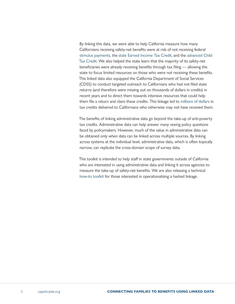By linking this data, we were able to help California measure how many Californians receiving safety-net benefits were at risk of not receiving federal [stimulus payments,](https://www.capolicylab.org/the-stimulus-gap-2-2-million-californians-could-miss-5-7-billion-in-federal-stimulus-payments/) the [state Earned Income Tax Credit](https://www.capolicylab.org/the-stimulus-gap-2-2-million-californians-could-miss-5-7-billion-in-federal-stimulus-payments/), and the [advanced Child](https://www.capolicylab.org/the-california-children-who-may-miss-the-2021-federal-child-tax-credit/)  [Tax Credit](https://www.capolicylab.org/the-california-children-who-may-miss-the-2021-federal-child-tax-credit/). We also helped the state learn that the majority of its safety-net beneficiaries were already receiving benefits through tax filing — allowing the state to focus limited resources on those who were not receiving these benefits. This linked data also equipped the California Department of Social Services (CDSS) to conduct targeted outreach to Californians who had not filed state returns (and therefore were missing out on thousands of dollars in credits) in recent years and to direct them towards intensive resources that could help them file a return and claim these credits. This linkage led to [millions of dollars](https://peoplelab.berkeley.edu/project/connecting-families-to-their-stimulus-payments/) in tax credits delivered to Californians who otherwise may not have received them.

The benefits of linking administrative data go beyond the take-up of anti-poverty tax credits. Administrative data can help answer many vexing policy questions faced by policymakers. However, much of the value in administrative data can be obtained only when data can be linked across multiple sources. By linking across systems at the individual level, administrative data, which is often topically narrow, can replicate the cross-domain scope of survey data.

This toolkit is intended to help staff in state governments outside of California who are interested in using administrative data and linking it across agencies to measure the take-up of safety-net benefits. We are also releasing a technical [how-to toolkit](https://www.capolicylab.org/connecting-families-to-benefits-using-linked-data-a-toolkit/) for those interested in operationalizing a hashed linkage.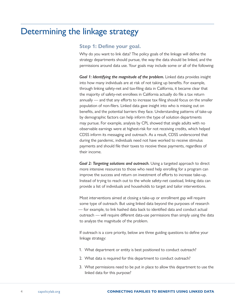# Determining the linkage strategy

### **Step 1: Define your goal.**

Why do you want to link data? The policy goals of the linkage will define the strategy departments should pursue, the way the data should be linked, and the permissions around data use. Your goals may include some or all of the following:

*Goal 1: Identifying the magnitude of the problem.* Linked data provides insight into how many individuals are at risk of not taking up benefits. For example, through linking safety-net and tax-filing data in California, it became clear that the majority of safety-net enrollees in California actually do file a tax return annually — and that any efforts to increase tax filing should focus on the smaller population of non-filers. Linked data gave insight into who is missing out on benefits, and the potential barriers they face. Understanding patterns of take-up by demographic factors can help inform the type of solution departments may pursue. For example, analysis by CPL showed that single adults with no observable earnings were at highest-risk for not receiving credits, which helped CDSS inform its messaging and outreach. As a result, CDSS underscored that during the pandemic, individuals need not have worked to receive stimulus payments and should file their taxes to receive these payments, regardless of their income.

*Goal 2: Targeting solutions and outreach.* Using a targeted approach to direct more intensive resources to those who need help enrolling for a program can improve the success and return on investment of efforts to increase take-up. Instead of trying to reach out to the whole safety-net caseload, linking data can provide a list of individuals and households to target and tailor interventions.

Most interventions aimed at closing a take-up or enrollment gap will require some type of outreach. But using linked data beyond the purposes of research — for example, to link hashed data back to identified data and conduct actual outreach — will require different data-use permissions than simply using the data to analyze the magnitude of the problem.

If outreach is a core priority, below are three guiding questions to define your linkage strategy:

- 1. What department or entity is best positioned to conduct outreach?
- 2. What data is required for this department to conduct outreach?
- 3. What permissions need to be put in place to allow this department to use the linked data for this purpose?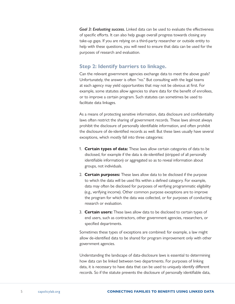*Goal 3: Evaluating success.* Linked data can be used to evaluate the effectiveness of specific efforts. It can also help gauge overall progress towards closing any take-up gaps. If you are relying on a third-party researcher or outside entity to help with these questions, you will need to ensure that data can be used for the purposes of research and evaluation.

### **Step 2: Identify barriers to linkage.**

Can the relevant government agencies exchange data to meet the above goals? Unfortunately, the answer is often "no." But consulting with the legal teams at each agency may yield opportunities that may not be obvious at first. For example, some statutes allow agencies to share data for the benefit of enrollees, or to improve a certain program. Such statutes can sometimes be used to facilitate data linkages.

As a means of protecting sensitive information, data disclosure and confidentiality laws often restrict the sharing of government records. These laws almost always prohibit the disclosure of personally identifiable information, and often prohibit the disclosure of de-identified records as well. But these laws usually have several exceptions, which mostly fall into three categories:

- 1. **Certain types of data:** These laws allow certain categories of data to be disclosed, for example if the data is de-identified (stripped of all personally identifiable information) or aggregated so as to reveal information about groups, not individuals.
- 2. **Certain purposes:** These laws allow data to be disclosed if the purpose to which the data will be used fits within a defined category. For example, data may often be disclosed for purposes of verifying programmatic eligibility (e.g., verifying income). Other common purpose exceptions are to improve the program for which the data was collected, or for purposes of conducting research or evaluation.
- 3. **Certain users:** These laws allow data to be disclosed to certain types of end users, such as contractors, other government agencies, researchers, or specified departments.

Sometimes these types of exceptions are combined: for example, a law might allow de-identified data to be shared for program improvement only with other government agencies.

Understanding the landscape of data-disclosure laws is essential to determining how data can be linked between two departments. For purposes of linking data, it is necessary to have data that can be used to uniquely identify different records. So if the statute prevents the disclosure of personally identifiable data,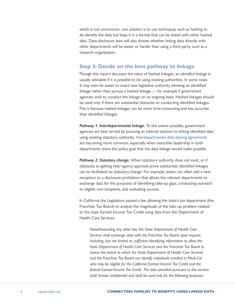which is not uncommon, one solution is to use techniques such as hashing to de-identify the data but keep it in a format that can be linked with other hashed data. Data-disclosure laws will also dictate whether linking data directly with other departments will be easier or harder than using a third party, such as a research organization.

### **Step 3: Decide on the best pathway to linkage**

Though this report discusses the value of hashed linkages, an *identified* linkage is usually advisable if it is possible to do using existing authorities. In some cases it may even be easier to enact new legislative authority allowing an identified linkage rather than pursue a hashed linkage — for example if government agencies wish to conduct the linkage on an ongoing basis. Hashed linkages should be used only if there are substantial obstacles to conducting identified linkages. This is because hashed linkages can be more time-consuming and less accurate than identified linkages.

*Pathway 1: Interdepartmental linkage.* To the extent possible, government agencies are best served by pursuing an internal solution to linking identified data using existing statutory authority. [Interdepartmental data-sharing agreements](https://chhsdata.github.io/dataplaybook/documents/datasharing/CHHS Data Sharing - Legal Agreement.pdf) are becoming more common, especially when executive leadership in both departments share the policy goal that the data linkage would make possible.

Pathway 2: Statutory change. When statutory authority does not exist, or if obstacles to getting inter-agency approval prove substantial, identified linkages can be facilitated via statutory change. For example, states can often add a new exception to a disclosure prohibition that allows the relevant departments to exchange data for the purposes of identifying take-up gaps, conducting outreach to eligible non-recipients, and evaluating success.

In California the Legislature passed a law allowing the state's tax department (the Franchise Tax Board) to analyze the magnitude of the take-up problem related to the state Earned Income Tax Credit using data from the Department of Health Care Services:

*Notwithstanding any other law, the State Department of Health Care Services shall exchange data with the Franchise Tax Board upon request, including, but not limited to, sufficient identifying information to allow the State Department of Health Care Services and the Franchise Tax Board to assess the extent to which the State Department of Health Care Services and the Franchise Tax Board can identify individuals enrolled in Medi-Cal who may be eligible for the California Earned Income Tax Credit and the federal Earned Income Tax Credit. The data provided pursuant to this section shall remain confidential and shall be used only for the following purposes:*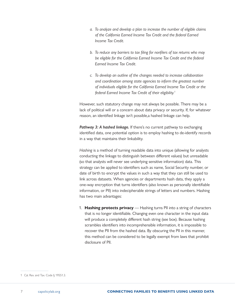- *a. To analyze and develop a plan to increase the number of eligible claims of the California Earned Income Tax Credit and the federal Earned Income Tax Credit.*
- *b. To reduce any barriers to tax filing for nonfilers of tax returns who may be eligible for the California Earned Income Tax Credit and the federal Earned Income Tax Credit.*
- *c. To develop an outline of the changes needed to increase collaboration and coordination among state agencies to inform the greatest number of individuals eligible for the California Earned Income Tax Credit or the federal Earned Income Tax Credit of their eligibility.1*

However, such statutory change may not always be possible. There may be a lack of political will or a concern about data privacy or security. If, for whatever reason, an identified linkage isn't possible,a hashed linkage can help.

**Pathway 3: A hashed linkage.** If there's no current pathway to exchanging identified data, one potential option is to employ hashing to de-identify records in a way that maintains their linkability.

*Hashing* is a method of turning readable data into unique (allowing for analysts conducting the linkage to distinguish between different values) but unreadable (so that analysts will never see underlying sensitive information) data. This strategy can be applied to identifiers such as name, Social Security number, or date of birth to encrypt the values in such a way that they can still be used to link across datasets. When agencies or departments hash data, they apply a one-way encryption that turns identifiers (also known as personally identifiable information, or PII) into indecipherable strings of letters and numbers. Hashing has two main advantages:

1. **Hashing protects privacy** — Hashing turns PII into a string of characters that is no longer identifiable. Changing even one character in the input data will produce a completely different hash string (see box). Because hashing scrambles identifiers into incomprehensible information, it is impossible to recover the PII from the hashed data. By obscuring the PII in this manner, this method can be considered to be legally exempt from laws that prohibit disclosure of PII.

<sup>1</sup> Cal. Rev. and Tax. Code § 19551.3.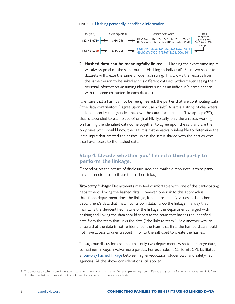#### FIGURE 1: Hashing personally identifiable information



2. **Hashed data can be meaningfully linked** — Hashing the exact same input will always produce the same output. Hashing an individual's PII in two separate datasets will create the same unique hash string. This allows the records from the same person to be linked across different datasets without ever seeing their personal information (assuming identifiers such as an individual's name appear with the same characters in each dataset).

To ensure that a hash cannot be reengineered, the parties that are contributing data ("the data contributors") agree upon and use a "salt". A salt is a string of characters decided upon by the agencies that own the data (for example: "iloveapplepie2!"), that is appended to each piece of original PII. Typically, only the analysts working on hashing the identified data come together to agree upon the salt, and are the only ones who should know the salt. It is mathematically infeasible to determine the initial input that created the hashes unless the salt is shared with the parties who also have access to the hashed data.<sup>2</sup>

### **Step 4: Decide whether you'll need a third party to perform the linkage.**

Depending on the nature of disclosure laws and available resources, a third party may be required to facilitate the hashed linkage.

*Two-party linkage:* Departments may feel comfortable with one of the participating departments linking the hashed data. However, one risk to this approach is that if one department does the linkage, it could re-identify values in the other department's data that match to its own data. To do the linkage in a way that maintains the de-identified nature of the linkage, the department charged with hashing and linking the data should separate the team that hashes the identified data from the team that links the data ("the linkage team"). Said another way, to ensure that the data is not re-identified, the team that links the hashed data should not have access to unencrypted PII or to the salt used to create the hashes.

Though our discussion assumes that only two departments wish to exchange data, sometimes linkages involve more parties. For example, in California CPL facilitated a [four-way hashed linkage](https://www.capolicylab.org/topics/social-safety-net/student-supports-the-role-of-social-safety-net-programs-in-college-student-success/) between higher-education, student-aid, and safety-net agencies. All the above considerations still applied.

<sup>2</sup> This prevents so-called brute-force attacks based on known common names. For example, testing many different encryptions of a common name like "Smith" to find the one that produces a string that is known to be common in the encrypted data.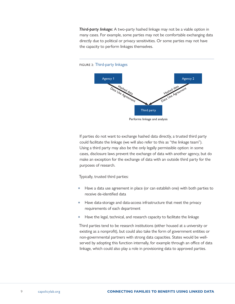*Third-party linkage:* A two-party hashed linkage may not be a viable option in many cases. For example, some parties may not be comfortable exchanging data directly due to political or privacy sensitivities. Or some parties may not have the capacity to perform linkages themselves.



FIGURE 2: Third-party linkages

If parties do not want to exchange hashed data directly, a trusted third party could facilitate the linkage (we will also refer to this as "the linkage team"). Using a third party may also be the only legally permissible option: in some cases, disclosure laws prevent the exchange of data with another agency, but do make an exception for the exchange of data with an outside third party for the purposes of research.

Typically, trusted third parties:

- Have a data use agreement in place (or can establish one) with both parties to receive de-identified data
- Have data-storage and data-access infrastructure that meet the privacy requirements of each department
- Have the legal, technical, and research capacity to facilitate the linkage

Third parties tend to be research institutions (either housed at a university or existing as a nonprofit), but could also take the form of government entities or non-governmental partners with strong data capacities. States would be wellserved by adopting this function internally, for example through an office of data linkage, which could also play a role in provisioning data to approved parties.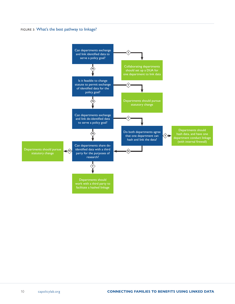#### FIGURE 3: What's the best pathway to linkage?

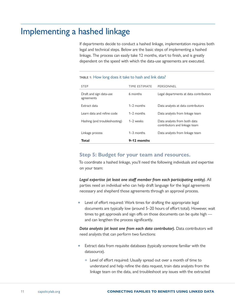# Implementing a hashed linkage

If departments decide to conduct a hashed linkage, implementation requires both legal and technical steps. Below are the basic steps of implementing a hashed linkage. The process can easily take 12 months, start to finish, and is greatly dependent on the speed with which the data-use agreements are executed.

| <b>STEP</b>                           | TIME ESTIMATE | PERSONNEL                                                     |
|---------------------------------------|---------------|---------------------------------------------------------------|
| Draft and sign data-use<br>agreements | 6 months      | Legal departments at data contributors                        |
| Extract data                          | $1-2$ months  | Data analysts at data contributors                            |
| Learn data and refine code            | $1-2$ months  | Data analysts from linkage team                               |
| Hashing (and troubleshooting)         | $1-2$ weeks   | Data analysts from both data<br>contributors and linkage team |
| Linkage process                       | $1-3$ months  | Data analysts from linkage team                               |
| Total                                 | 9-12 months   |                                                               |

#### TABLE 1: How long does it take to hash and link data?

### **Step 5: Budget for your team and resources.**

To coordinate a hashed linkage, you'll need the following individuals and expertise on your team:

*Legal expertise (at least one staff member from each participating entity)*. All parties need an individual who can help draft language for the legal agreements necessary and shepherd those agreements through an approval process.

**•** Level of effort required: Work times for drafting the appropriate legal documents are typically low (around 5–20 hours of effort total). However, wait times to get approvals and sign offs on those documents can be quite high and can lengthen the process significantly.

*Data analysts (at least one from each data contributor).* Data contributors will need analysts that can perform two functions:

- Extract data from requisite databases (typically someone familiar with the datasource).
	- Level of effort required: Usually spread out over a month of time to understand and help refine the data request, train data analysts from the linkage team on the data, and troubleshoot any issues with the extracted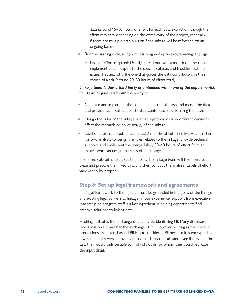data (around 15–30 hours of effort for each data extraction, though the effort may vary depending on the complexity of the project, especially if there are multiple data pulls or if the linkage will be refreshed on an ongoing basis).

- Run the hashing code, using a mutually agreed upon programming language.
	- Level of effort required: Usually spread out over a month of time to help implement code, adapt it to the specific dataset, and troubleshoot any issues. This analyst is the one that guides the data contributors in their choice of a salt (around 20–30 hours of effort total).

*Linkage team (either a third party or embedded within one of the departments).* This team requires staff with the ability to:

- Generate and implement the code needed to both hash and merge the data, and provide technical support to data contributors performing the hash.
- Design the rules of the linkage, with an eye towards how different decisions affect the research or policy goal(s) of the linkage.
- Level of effort required: an estimated 3 months of Full Time Equivalent (FTE) for two analysts to design the rules related to the linkage, provide technical support, and implement the merge. Likely 30–40 hours of effort from an expert who can design the rules of the linkage.

The linked dataset is just a starting point. The linkage team will then need to clean and prepare the linked data and then conduct the analysis. Levels of effort vary widely by project.

# **Step 6: Set up legal framework and agreements**

The legal framework to linking data must be grounded in the goals of the linkage and existing legal barriers to linkage. In our experience, support from executive leadership or program staff is a key ingredient in helping departments find creative solutions to linking data.

Hashing facilitates the exchange of data by de-identifying PII. Many disclosure laws focus on PII, and bar the exchange of PII. However, as long as the correct precautions are taken, hashed PII is not considered PII because it is encrypted in a way that is irreversible by any party that lacks the salt (and even if they had the salt, they would only be able to find individuals for whom they could replicate the input data).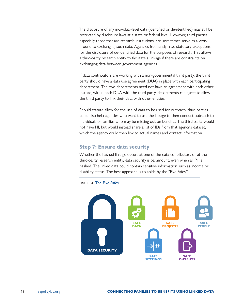The disclosure of any individual-level data (identified or de-identified) may still be restricted by disclosure laws at a state or federal level. However, third parties, especially those that are research institutions, can sometimes serve as a workaround to exchanging such data. Agencies frequently have statutory exceptions for the disclosure of de-identified data for the purposes of research. This allows a third-party research entity to facilitate a linkage if there are constraints on exchanging data between government agencies.

If data contributors are working with a non-governmental third party, the third party should have a data use agreement (DUA) in place with each participating department. The two departments need not have an agreement with each other. Instead, within each DUA with the third party, departments can agree to allow the third party to link their data with other entities.

Should statute allow for the use of data to be used for outreach, third parties could also help agencies who want to use the linkage to then conduct outreach to individuals or families who may be missing out on benefits. The third party would not have PII, but would instead share a list of IDs from that agency's dataset, which the agency could then link to actual names and contact information.

## **Step 7: Ensure data security**

Whether the hashed linkage occurs at one of the data contributors or at the third-party research entity, data security is paramount, even when all PII is hashed. The linked data could contain sensitive information such as income or disability status. The best approach is to abide by the "Five Safes."



FIGURE 4: The Five Safes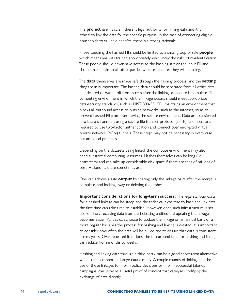The **project** itself is safe if there is legal authority for linking data and it is ethical to link the data for the specific purpose. In the case of connecting eligible households to valuable benefits, there is a strong rationale.

Those touching the hashed PII should be limited to a small group of safe **people**, which means analysts trained appropriately who know the risks of re-identification. These people should never have access to the hashing salt or the input PII and should make plain to all other parties what procedures they will be using.

The **data** themselves are made safe through the hashing process, and the **setting** they are in is important. The hashed data should be separated from all other data and deleted or walled off from access after the linking procedure is complete. The computing environment in which the linkage occurs should meet appropriate data-security standards, such as NIST 800-53. CPL maintains an environment that blocks all outbound access to outside networks, such as the internet, so as to prevent hashed PII from ever leaving the secure environment. Data are transferred into the environment using a secure file transfer protocol (SFTP), and users are required to use two-factor authentication and connect over encrypted virtual private network (VPN) tunnels. These steps may not be necessary in every case but are good practices.

Depending on the datasets being linked, the compute environment may also need substantial computing resources. Hashes themselves can be long (64 characters) and can take up considerable disk space if there are tens of millions of observations, as there sometimes are.

One can achieve a safe **output** by sharing only the linkage pairs after the merge is complete, and locking away or deleting the hashes.

**Important considerations for long-term success:** The legal start-up costs for a hashed linkage can be steep and the technical expertise to hash and link data the first time can take time to establish. However, once such infrastructure is set up, routinely receiving data from participating entities and updating the linkage becomes easier. Parties can choose to update the linkage on an annual basis or a more regular basis. As the process for hashing and linking is created, it is important to consider how often the data will be pulled and to ensure that data is consistent across years. Over repeated iterations, the turnaround time for hashing and linking can reduce from months to weeks.

Hashing and linking data through a third party can be a good short-term alternative when parties cannot exchange data directly. A couple rounds of linking, and the use of those linkages to inform policy decisions or inform successful take-up campaigns, can serve as a useful proof of concept that catalyzes codifying the exchange of data directly.